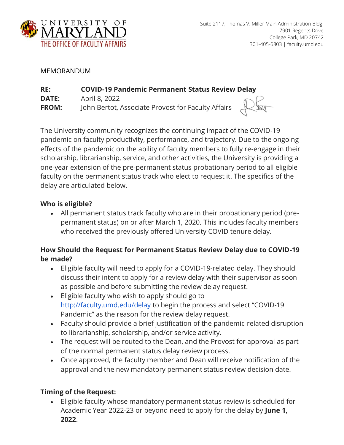

#### MEMORANDUM

| RE:          | <b>COVID-19 Pandemic Permanent Status Review Delay</b> |     |
|--------------|--------------------------------------------------------|-----|
| <b>DATE:</b> | April 8, 2022                                          |     |
| <b>FROM:</b> | John Bertot, Associate Provost for Faculty Affairs     | Pla |

The University community recognizes the continuing impact of the COVID-19 pandemic on faculty productivity, performance, and trajectory. Due to the ongoing effects of the pandemic on the ability of faculty members to fully re-engage in their scholarship, librarianship, service, and other activities, the University is providing a one-year extension of the pre-permanent status probationary period to all eligible faculty on the permanent status track who elect to request it. The specifics of the delay are articulated below.

#### **Who is eligible?**

• All permanent status track faculty who are in their probationary period (prepermanent status) on or after March 1, 2020. This includes faculty members who received the previously offered University COVID tenure delay.

## **How Should the Request for Permanent Status Review Delay due to COVID-19 be made?**

- Eligible faculty will need to apply for a COVID-19-related delay. They should discuss their intent to apply for a review delay with their supervisor as soon as possible and before submitting the review delay request.
- Eligible faculty who wish to apply should go t[o](http://faculty.umd.edu/tenure_delay/) <http://faculty.umd.edu/delay> to begin the process and select "COVID-19 Pandemic" as the reason for the review delay request.
- Faculty should provide a brief justification of the pandemic-related disruption to librarianship, scholarship, and/or service activity.
- The request will be routed to the Dean, and the Provost for approval as part of the normal permanent status delay review process.
- Once approved, the faculty member and Dean will receive notification of the approval and the new mandatory permanent status review decision date.

# **Timing of the Request:**

• Eligible faculty whose mandatory permanent status review is scheduled for Academic Year 2022-23 or beyond need to apply for the delay by **June 1, 2022**.